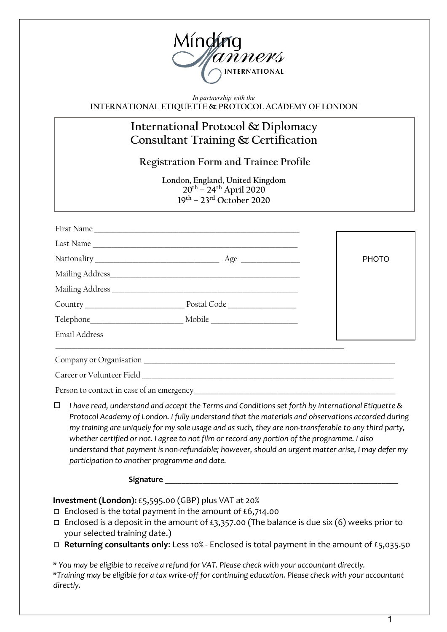

*In partnership with the*  **INTERNATIONAL ETIQUETTE & PROTOCOL ACADEMY OF LONDON**

## **International Protocol & Diplomacy Consultant Training & Certification**

**Registration Form and Trainee Profile**

**London, England, United Kingdom 20th – 24th April 2020 19th – 23rd October 2020**

| First Name              |             |              |
|-------------------------|-------------|--------------|
| Last Name               |             |              |
|                         |             | <b>PHOTO</b> |
|                         |             |              |
| Mailing Address         |             |              |
|                         | Postal Code |              |
| Telephone Mobile Mobile |             |              |
| <b>Email Address</b>    |             |              |

Company or Organisation

Career or Volunteer Field

Person to contact in case of an emergency

o *I have read, understand and accept the Terms and Conditions set forth by International Etiquette & Protocol Academy of London. I fully understand that the materials and observations accorded during my training are uniquely for my sole usage and as such, they are non-transferable to any third party, whether certified or not. I agree to not film or record any portion of the programme. I also understand that payment is non-refundable; however, should an urgent matter arise, I may defer my participation to another programme and date.*

Signature **Lating Signature** 

**Investment (London):** £5,595.00 (GBP) plus VAT at 20%

- $\Box$  Enclosed is the total payment in the amount of £6,714.00
- $\Box$  Enclosed is a deposit in the amount of £3,357.00 (The balance is due six (6) weeks prior to your selected training date.)
- □ Returning consultants only: Less 10% Enclosed is total payment in the amount of £5,035.50

*\* You may be eligible to receive a refund for VAT. Please check with your accountant directly. \*Training may be eligible for a tax write-off for continuing education. Please check with your accountant directly.*

1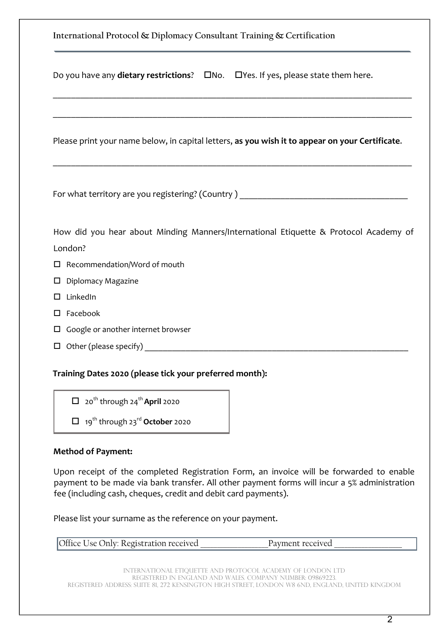| International Protocol & Diplomacy Consultant Training & Certification                                                                                                                                    |  |  |  |  |
|-----------------------------------------------------------------------------------------------------------------------------------------------------------------------------------------------------------|--|--|--|--|
| Do you have any dietary restrictions?<br>$\square$ No. $\square$ Yes. If yes, please state them here.                                                                                                     |  |  |  |  |
|                                                                                                                                                                                                           |  |  |  |  |
| Please print your name below, in capital letters, as you wish it to appear on your Certificate.                                                                                                           |  |  |  |  |
| <u> 1980 - Johann Barn, mars ann an t-Amhainn an t-Amhainn an t-Amhainn an t-Amhainn an t-Amhainn an t-Amhainn an</u><br>For what territory are you registering? (Country) ______________________________ |  |  |  |  |
| How did you hear about Minding Manners/International Etiquette & Protocol Academy of                                                                                                                      |  |  |  |  |
| London?                                                                                                                                                                                                   |  |  |  |  |
| $\Box$ Recommendation/Word of mouth                                                                                                                                                                       |  |  |  |  |
| $\square$ Diplomacy Magazine                                                                                                                                                                              |  |  |  |  |
| $\square$ LinkedIn                                                                                                                                                                                        |  |  |  |  |
| $\square$ Facebook                                                                                                                                                                                        |  |  |  |  |
| $\square$ Google or another internet browser                                                                                                                                                              |  |  |  |  |
|                                                                                                                                                                                                           |  |  |  |  |
| Training Dates 2020 (please tick your preferred month):                                                                                                                                                   |  |  |  |  |

 $\Box$  20<sup>th</sup> through 24<sup>th</sup> April 2020

o 19th through 23rd **October** 2020

## **Method of Payment:**

Upon receipt of the completed Registration Form, an invoice will be forwarded to enable payment to be made via bank transfer. All other payment forms will incur a 5% administration fee (including cash, cheques, credit and debit card payments).

Please list your surname as the reference on your payment.

| Office Use Only: Registration received<br>Payment received |  |
|------------------------------------------------------------|--|
|------------------------------------------------------------|--|

International etiquette and protocol academy of London LTD registered in England and Wales. Company Number: 09869223. Registered Address: Suite 81, 272 Kensington High Street, London w8 6nd, England, United Kingdom